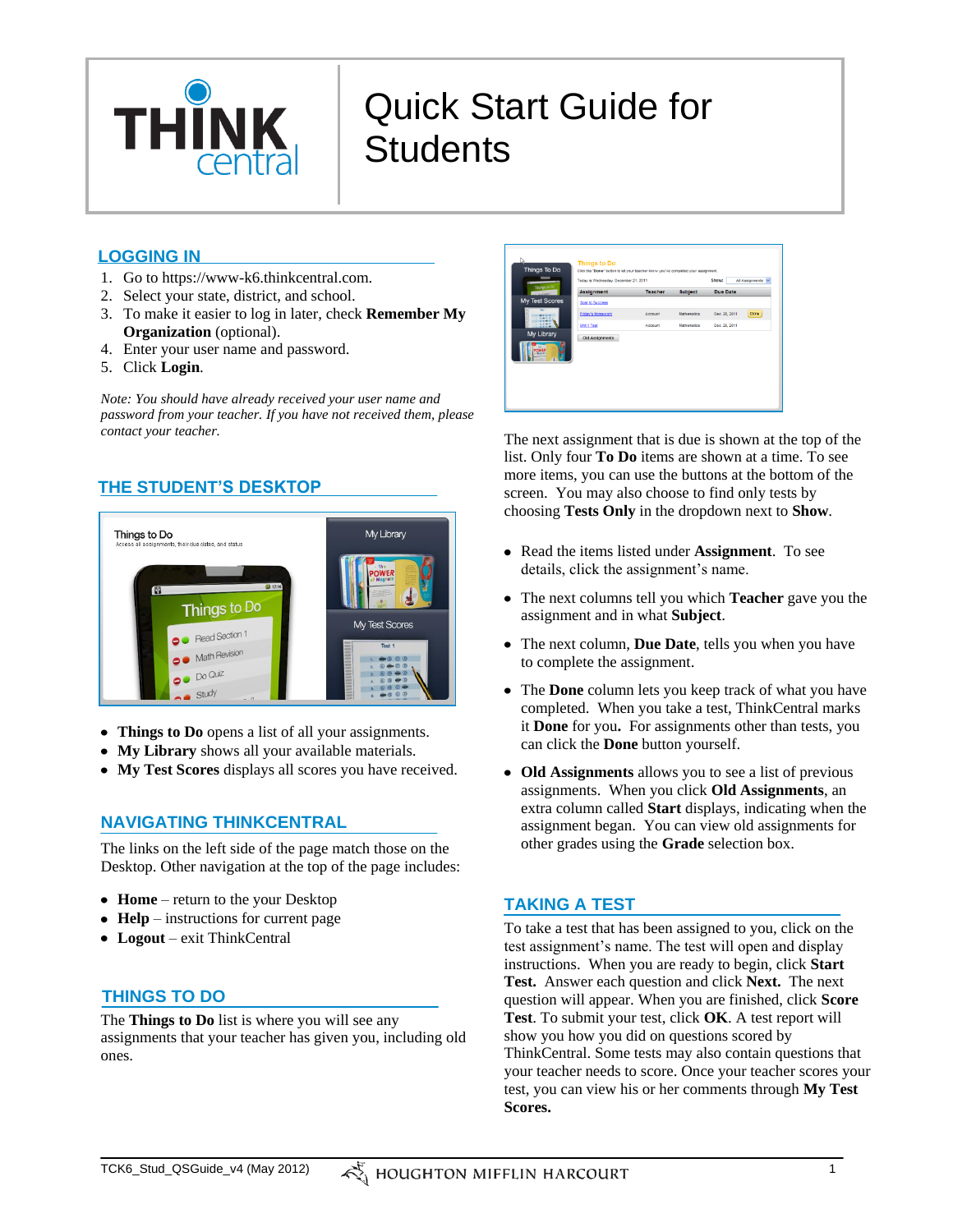

# Quick Start Guide for **Students**

## **LOGGING IN**

- 1. Go to https://www-k6.thinkcentral.com.
- 2. Select your state, district, and school.
- 3. To make it easier to log in later, check **Remember My Organization** (optional).
- 4. Enter your user name and password.
- 5. Click **Login**.

*Note: You should have already received your user name and password from your teacher. If you have not received them, please contact your teacher.*

# **THE STUDENT'S DESKTOP**



- **Things to Do** opens a list of all your assignments.
- **My Library** shows all your available materials.
- **My Test Scores** displays all scores you have received.

## **NAVIGATING THINKCENTRAL**

The links on the left side of the page match those on the Desktop. Other navigation at the top of the page includes:

- **Home** return to the your Desktop
- **Help** instructions for current page
- **Logout** exit ThinkCentral

# **THINGS TO DO**

The **Things to Do** list is where you will see any assignments that your teacher has given you, including old ones.



The next assignment that is due is shown at the top of the list. Only four **To Do** items are shown at a time. To see more items, you can use the buttons at the bottom of the screen. You may also choose to find only tests by choosing **Tests Only** in the dropdown next to **Show**.

- Read the items listed under **Assignment**. To see details, click the assignment's name.
- The next columns tell you which **Teacher** gave you the assignment and in what **Subject**.
- The next column, **Due Date**, tells you when you have to complete the assignment.
- The **Done** column lets you keep track of what you have completed. When you take a test, ThinkCentral marks it **Done** for you**.** For assignments other than tests, you can click the **Done** button yourself.
- **Old Assignments** allows you to see a list of previous assignments. When you click **Old Assignments**, an extra column called **Start** displays, indicating when the assignment began. You can view old assignments for other grades using the **Grade** selection box.

## **TAKING A TEST**

To take a test that has been assigned to you, click on the test assignment's name. The test will open and display instructions. When you are ready to begin, click **Start Test.** Answer each question and click **Next.** The next question will appear. When you are finished, click **Score Test**. To submit your test, click **OK**. A test report will show you how you did on questions scored by ThinkCentral. Some tests may also contain questions that your teacher needs to score. Once your teacher scores your test, you can view his or her comments through **My Test Scores.**